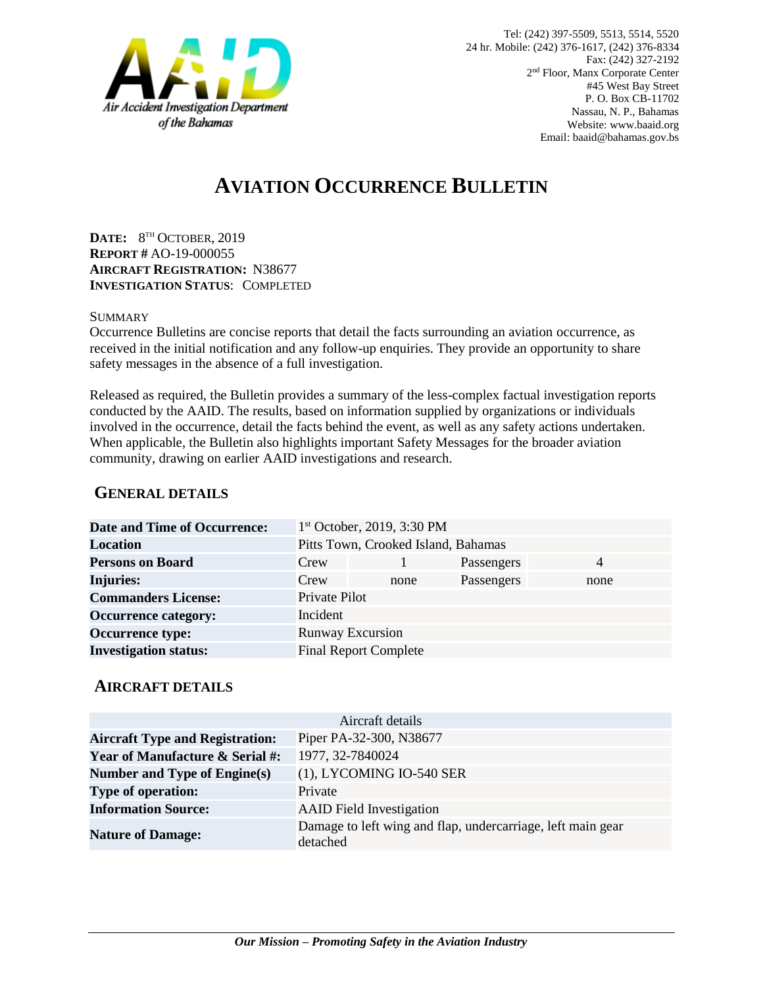

# **AVIATION OCCURRENCE BULLETIN**

**DATE:** 8 TH OCTOBER, 2019 **REPORT #** AO-19-000055 **AIRCRAFT REGISTRATION:** N38677 **INVESTIGATION STATUS**: COMPLETED

#### **SUMMARY**

Occurrence Bulletins are concise reports that detail the facts surrounding an aviation occurrence, as received in the initial notification and any follow-up enquiries. They provide an opportunity to share safety messages in the absence of a full investigation*.*

Released as required, the Bulletin provides a summary of the less-complex factual investigation reports conducted by the AAID. The results, based on information supplied by organizations or individuals involved in the occurrence, detail the facts behind the event, as well as any safety actions undertaken. When applicable, the Bulletin also highlights important Safety Messages for the broader aviation community, drawing on earlier AAID investigations and research.

### **GENERAL DETAILS**

| <b>Date and Time of Occurrence:</b> |                                     | 1 <sup>st</sup> October, 2019, 3:30 PM |            |                |
|-------------------------------------|-------------------------------------|----------------------------------------|------------|----------------|
| <b>Location</b>                     | Pitts Town, Crooked Island, Bahamas |                                        |            |                |
| <b>Persons on Board</b>             | Crew                                |                                        | Passengers | $\overline{4}$ |
| <b>Injuries:</b>                    | Crew                                | none                                   | Passengers | none           |
| <b>Commanders License:</b>          | Private Pilot                       |                                        |            |                |
| <b>Occurrence category:</b>         | Incident                            |                                        |            |                |
| <b>Occurrence type:</b>             | <b>Runway Excursion</b>             |                                        |            |                |
| <b>Investigation status:</b>        |                                     | <b>Final Report Complete</b>           |            |                |

#### **AIRCRAFT DETAILS**

|                                            | Aircraft details                                                        |
|--------------------------------------------|-------------------------------------------------------------------------|
| <b>Aircraft Type and Registration:</b>     | Piper PA-32-300, N38677                                                 |
| <b>Year of Manufacture &amp; Serial #:</b> | 1977, 32-7840024                                                        |
| Number and Type of Engine(s)               | (1), LYCOMING IO-540 SER                                                |
| <b>Type of operation:</b>                  | Private                                                                 |
| <b>Information Source:</b>                 | <b>AAID</b> Field Investigation                                         |
| <b>Nature of Damage:</b>                   | Damage to left wing and flap, undercarriage, left main gear<br>detached |